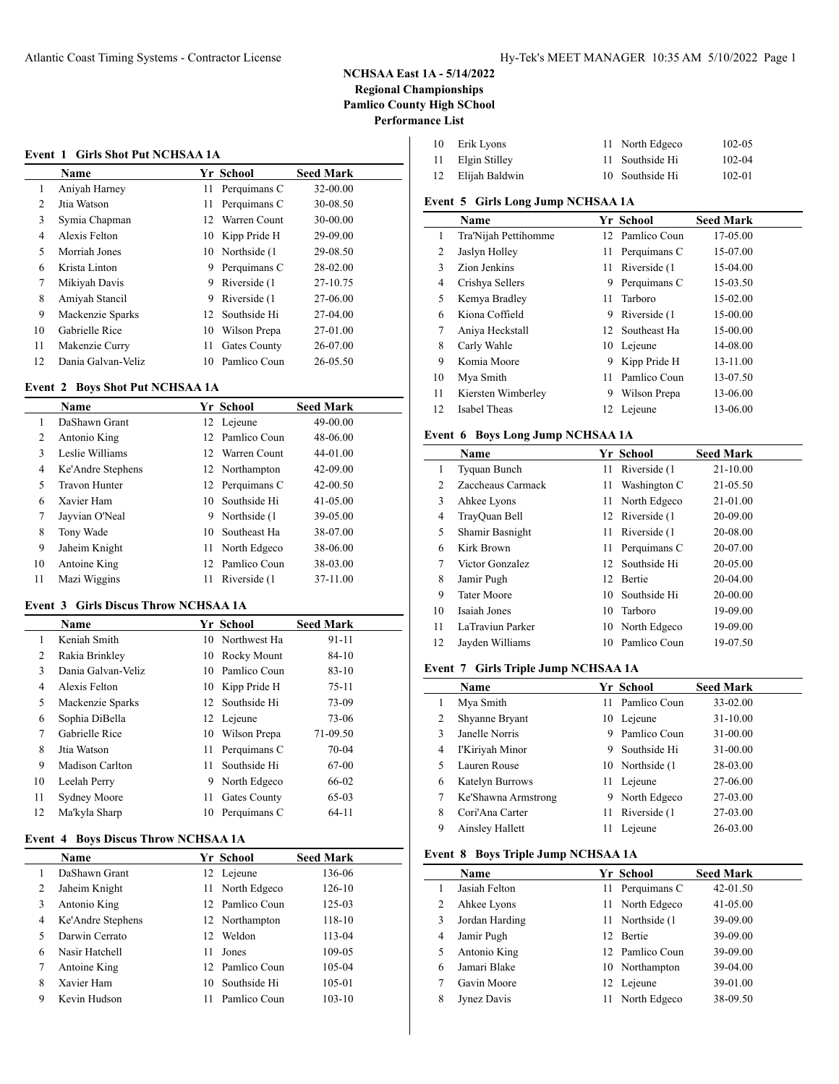#### **Event 1 Girls Shot Put NCHSAA 1A**

 $\overline{a}$ 

|                | Name               |                 | Yr School     | <b>Seed Mark</b> |
|----------------|--------------------|-----------------|---------------|------------------|
| 1              | Aniyah Harney      | 11              | Perquimans C  | 32-00.00         |
| $\overline{c}$ | Jtia Watson        | 11              | Perquimans C  | 30-08.50         |
| 3              | Symia Chapman      | 12              | Warren Count  | 30-00.00         |
| 4              | Alexis Felton      | 10              | Kipp Pride H  | 29-09.00         |
| 5              | Morriah Jones      | 10              | Northside (1) | 29-08.50         |
| 6              | Krista Linton      | 9               | Perquimans C  | 28-02.00         |
| 7              | Mikiyah Davis      | 9               | Riverside (1) | 27-10.75         |
| 8              | Amiyah Stancil     | 9               | Riverside (1) | 27-06.00         |
| 9              | Mackenzie Sparks   | 12 <sup>1</sup> | Southside Hi  | 27-04.00         |
| 10             | Gabrielle Rice     | 10              | Wilson Prepa  | 27-01.00         |
| 11             | Makenzie Curry     | 11              | Gates County  | 26-07.00         |
| 12             | Dania Galvan-Veliz | 10              | Pamlico Coun  | 26-05.50         |

### **Event 2 Boys Shot Put NCHSAA 1A**

|                | <b>Name</b>          |    | <b>Yr School</b> | <b>Seed Mark</b> |
|----------------|----------------------|----|------------------|------------------|
| 1              | DaShawn Grant        |    | 12 Lejeune       | 49-00.00         |
| $\overline{c}$ | Antonio King         |    | 12 Pamlico Coun  | 48-06.00         |
| 3              | Leslie Williams      |    | 12 Warren Count  | 44-01.00         |
| 4              | Ke'Andre Stephens    |    | 12 Northampton   | 42-09.00         |
| 5              | <b>Travon Hunter</b> |    | 12 Perquimans C  | $42 - 00.50$     |
| 6              | Xavier Ham           | 10 | Southside Hi     | $41 - 05.00$     |
| 7              | Jayvian O'Neal       | 9. | Northside (1     | 39-05.00         |
| 8              | Tony Wade            | 10 | Southeast Ha     | 38-07.00         |
| 9              | Jaheim Knight        | 11 | North Edgeco     | 38-06.00         |
| 10             | Antoine King         | 12 | Pamlico Coun     | 38-03.00         |
| 11             | Mazi Wiggins         | 11 | Riverside (1)    | 37-11.00         |

#### **Event 3 Girls Discus Throw NCHSAA 1A**

|    | <b>Name</b>         |     | Yr School       | <b>Seed Mark</b> |
|----|---------------------|-----|-----------------|------------------|
| 1  | Keniah Smith        |     | 10 Northwest Ha | 91-11            |
| 2  | Rakia Brinkley      | 10  | Rocky Mount     | $84-10$          |
| 3  | Dania Galvan-Veliz  | 10. | Pamlico Coun    | $83 - 10$        |
| 4  | Alexis Felton       |     | 10 Kipp Pride H | $75 - 11$        |
| 5  | Mackenzie Sparks    |     | 12 Southside Hi | 73-09            |
| 6  | Sophia DiBella      |     | 12 Lejeune      | 73-06            |
| 7  | Gabrielle Rice      | 10  | Wilson Prepa    | 71-09.50         |
| 8  | Jtia Watson         | 11  | Perquimans C    | $70 - 04$        |
| 9  | Madison Carlton     | 11  | Southside Hi    | 67-00            |
| 10 | Leelah Perry        | 9   | North Edgeco    | 66-02            |
| 11 | <b>Sydney Moore</b> | 11  | Gates County    | 65-03            |
| 12 | Ma'kyla Sharp       | 10  | Perquimans C    | $64-11$          |

### **Event 4 Boys Discus Throw NCHSAA 1A**

|   | <b>Name</b>       |     | Yr School       | <b>Seed Mark</b> |
|---|-------------------|-----|-----------------|------------------|
|   | DaShawn Grant     |     | 12 Lejeune      | 136-06           |
| 2 | Jaheim Knight     | 11. | North Edgeco    | 126-10           |
| 3 | Antonio King      |     | 12 Pamlico Coun | 125-03           |
| 4 | Ke'Andre Stephens |     | 12 Northampton  | 118-10           |
| 5 | Darwin Cerrato    | 12  | Weldon          | 113-04           |
| 6 | Nasir Hatchell    | 11  | Jones           | 109-05           |
| 7 | Antoine King      |     | 12 Pamlico Coun | 105-04           |
| 8 | Xavier Ham        | 10  | Southside Hi    | 105-01           |
| 9 | Kevin Hudson      |     | Pamlico Coun    | $103 - 10$       |
|   |                   |     |                 |                  |

| 10 | Erik Lyons        | 11 North Edgeco | 102-05     |
|----|-------------------|-----------------|------------|
|    | 11 Elgin Stilley  | 11 Southside Hi | $102 - 04$ |
|    | 12 Elijah Baldwin | 10 Southside Hi | 102-01     |

# **Event 5 Girls Long Jump NCHSAA 1A**

|    | <b>Name</b>          |    | Yr School       | <b>Seed Mark</b> |
|----|----------------------|----|-----------------|------------------|
| 1  | Tra'Nijah Pettihomme |    | 12 Pamlico Coun | 17-05.00         |
| 2  | Jaslyn Holley        | 11 | Perquimans C    | 15-07.00         |
| 3  | Zion Jenkins         | 11 | Riverside (1    | 15-04.00         |
| 4  | Crishya Sellers      | 9  | Perquimans C    | 15-03.50         |
| 5  | Kemya Bradley        | 11 | Tarboro         | 15-02.00         |
| 6  | Kiona Coffield       | 9  | Riverside (1    | 15-00.00         |
| 7  | Aniya Heckstall      |    | 12 Southeast Ha | 15-00.00         |
| 8  | Carly Wahle          | 10 | Lejeune         | 14-08.00         |
| 9  | Komia Moore          | 9  | Kipp Pride H    | 13-11.00         |
| 10 | Mya Smith            | 11 | Pamlico Coun    | 13-07.50         |
| 11 | Kiersten Wimberley   | 9  | Wilson Prepa    | 13-06.00         |
| 12 | Isabel Theas         |    | 12 Lejeune      | 13-06.00         |

## **Event 6 Boys Long Jump NCHSAA 1A**

|    | <b>Name</b>        |     | Yr School        | <b>Seed Mark</b> |
|----|--------------------|-----|------------------|------------------|
| 1  | Tyquan Bunch       | 11  | Riverside (1     | $21 - 10.00$     |
| 2  | Zaccheaus Carmack  | 11  | Washington C     | 21-05.50         |
| 3  | Ahkee Lyons        | 11  | North Edgeco     | 21-01.00         |
| 4  | TrayQuan Bell      |     | 12 Riverside (1) | 20-09.00         |
| 5  | Shamir Basnight    | 11  | Riverside (1)    | 20-08.00         |
| 6  | Kirk Brown         | 11- | Perquimans C     | 20-07.00         |
| 7  | Victor Gonzalez    | 12  | Southside Hi     | 20-05.00         |
| 8  | Jamir Pugh         | 12  | <b>Bertie</b>    | 20-04.00         |
| 9  | <b>Tater Moore</b> | 10. | Southside Hi     | 20-00.00         |
| 10 | Isaiah Jones       | 10  | Tarboro          | 19-09.00         |
| 11 | LaTraviun Parker   | 10  | North Edgeco     | 19-09.00         |
| 12 | Jayden Williams    | 10- | Pamlico Coun     | 19-07.50         |

### **Event 7 Girls Triple Jump NCHSAA 1A**

|   | Name                   |    | Yr School        | <b>Seed Mark</b> |
|---|------------------------|----|------------------|------------------|
|   | Mya Smith              | 11 | Pamlico Coun     | 33-02.00         |
| 2 | Shyanne Bryant         | 10 | Lejeune          | 31-10.00         |
| 3 | Janelle Norris         | 9  | Pamlico Coun     | 31-00.00         |
| 4 | I'Kiriyah Minor        | 9  | Southside Hi     | 31-00.00         |
| 5 | Lauren Rouse           |    | 10 Northside (1) | 28-03.00         |
| 6 | Katelyn Burrows        | 11 | Lejeune          | 27-06.00         |
|   | Ke'Shawna Armstrong    | 9  | North Edgeco     | 27-03.00         |
| 8 | Cori'Ana Carter        | 11 | Riverside (1)    | 27-03.00         |
| 9 | <b>Ainsley Hallett</b> | 11 | Lejeune          | 26-03.00         |

# **Event 8 Boys Triple Jump NCHSAA 1A**

|   | <b>Name</b>    |     | Yr School       | <b>Seed Mark</b> |
|---|----------------|-----|-----------------|------------------|
|   | Jasiah Felton  | 11  | Perquimans C    | 42-01.50         |
| 2 | Ahkee Lyons    |     | 11 North Edgeco | 41-05.00         |
| 3 | Jordan Harding |     | 11 Northside (1 | 39-09.00         |
| 4 | Jamir Pugh     | 12. | <b>Bertie</b>   | 39-09.00         |
| 5 | Antonio King   |     | 12 Pamlico Coun | 39-09.00         |
| 6 | Jamari Blake   | 10  | Northampton     | 39-04.00         |
|   | Gavin Moore    | 12  | Lejeune         | 39-01.00         |
| 8 | Jynez Davis    | 11  | North Edgeco    | 38-09.50         |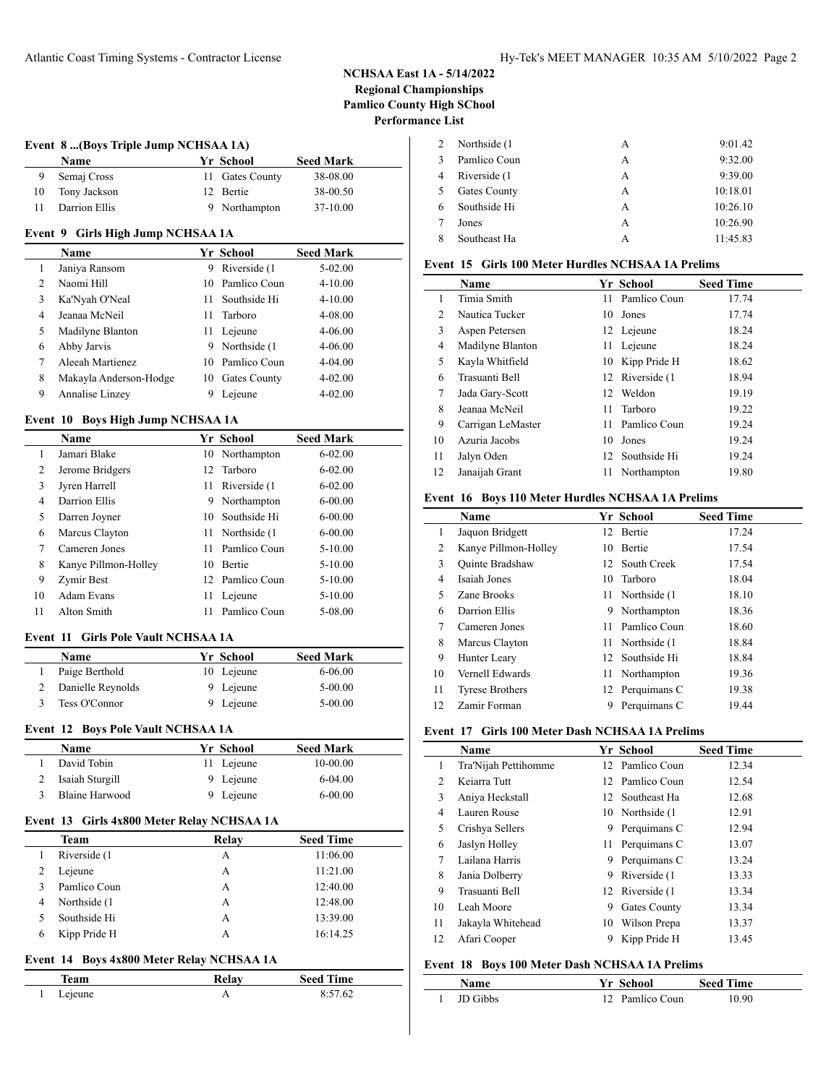$\overline{a}$ 

| Event 8 (Boys Triple Jump NCHSAA 1A) |               |  |                 |                  |  |
|--------------------------------------|---------------|--|-----------------|------------------|--|
|                                      | <b>Name</b>   |  | Yr School       | <b>Seed Mark</b> |  |
|                                      | Semaj Cross   |  | 11 Gates County | 38-08.00         |  |
| 10                                   | Tony Jackson  |  | 12 Bertie       | 38-00.50         |  |
|                                      | Darrion Ellis |  | 9 Northampton   | 37-10.00         |  |

#### **Event 9 Girls High Jump NCHSAA 1A**

|               | <b>Name</b>            |     | Yr School           | <b>Seed Mark</b> |
|---------------|------------------------|-----|---------------------|------------------|
| 1             | Janiya Ransom          | 9   | Riverside (1)       | $5-02.00$        |
| $\mathcal{L}$ | Naomi Hill             | 10. | Pamlico Coun        | $4 - 10.00$      |
| 3             | Ka'Nyah O'Neal         | 11  | Southside Hi        | $4 - 10.00$      |
| 4             | Jeanaa McNeil          | 11  | Tarboro             | 4-08.00          |
| 5             | Madilyne Blanton       | 11  | Lejeune             | $4 - 06.00$      |
| 6             | Abby Jarvis            | 9   | Northside (1)       | $4 - 06.00$      |
| 7             | Aleeah Martienez       | 10  | Pamlico Coun        | $4 - 04.00$      |
| 8             | Makayla Anderson-Hodge | 10  | <b>Gates County</b> | $4 - 02.00$      |
| 9             | Annalise Linzey        |     | Lejeune             | $4 - 02.00$      |

### **Event 10 Boys High Jump NCHSAA 1A**

|    | Name                 |    | Yr School     | <b>Seed Mark</b> |
|----|----------------------|----|---------------|------------------|
| 1  | Jamari Blake         | 10 | Northampton   | $6 - 02.00$      |
| 2  | Jerome Bridgers      | 12 | Tarboro       | $6 - 02.00$      |
| 3  | Jyren Harrell        | 11 | Riverside (1  | $6 - 02.00$      |
| 4  | Darrion Ellis        | 9  | Northampton   | $6 - 00.00$      |
| 5  | Darren Joyner        | 10 | Southside Hi  | $6 - 00.00$      |
| 6  | Marcus Clayton       | 11 | Northside (1) | $6 - 00.00$      |
| 7  | Cameren Jones        | 11 | Pamlico Coun  | $5 - 10.00$      |
| 8  | Kanye Pillmon-Holley | 10 | <b>Bertie</b> | $5 - 10.00$      |
| 9  | Zymir Best           | 12 | Pamlico Coun  | $5 - 10.00$      |
| 10 | Adam Evans           | 11 | Leieune       | $5 - 10.00$      |
| 11 | Alton Smith          | 11 | Pamlico Coun  | 5-08.00          |

### **Event 11 Girls Pole Vault NCHSAA 1A**

 $\overline{a}$ 

| Paige Berthold<br>10 Lejeune   | 6-06.00     |
|--------------------------------|-------------|
|                                |             |
| 9 Lejeune<br>Danielle Reynolds | $5 - 00.00$ |
| 9 Lejeune<br>Tess O'Connor     | $5 - 00.00$ |

#### **Event 12 Boys Pole Vault NCHSAA 1A**

| <b>Name</b>     | Yr School  | <b>Seed Mark</b> |  |
|-----------------|------------|------------------|--|
| David Tobin     | 11 Lejeune | 10-00.00         |  |
| Isaiah Sturgill | 9 Lejeune  | $6-04.00$        |  |
| Blaine Harwood  | 9 Lejeune  | $6 - 00.00$      |  |

## **Event 13 Girls 4x800 Meter Relay NCHSAA 1A**

|   | <b>Team</b>   | Relay | <b>Seed Time</b> |
|---|---------------|-------|------------------|
|   | Riverside (1) | А     | 11:06.00         |
|   | Lejeune       | А     | 11:21.00         |
|   | Pamlico Coun  | А     | 12:40.00         |
| 4 | Northside (1) | А     | 12:48.00         |
|   | Southside Hi  | А     | 13:39.00         |
|   | Kipp Pride H  | А     | 16:14.25         |

#### **Event 14 Boys 4x800 Meter Relay NCHSAA 1A**

| feam    | Relay | <b>Seed Time</b> |
|---------|-------|------------------|
| Lejeune |       | 8:57.62          |

|   | Northside (1) | А | 9:01.42  |
|---|---------------|---|----------|
|   | Pamlico Coun  | А | 9:32.00  |
|   | Riverside (1) | А | 9:39.00  |
| 5 | Gates County  | А | 10:18.01 |
|   | Southside Hi  | А | 10:26.10 |
|   | Jones         | А | 10:26.90 |
|   | Southeast Ha  | А | 11:45.83 |

## **Event 15 Girls 100 Meter Hurdles NCHSAA 1A Prelims**

|    | <b>Name</b>       |    | Yr School        | <b>Seed Time</b> |
|----|-------------------|----|------------------|------------------|
|    | Timia Smith       | 11 | Pamlico Coun     | 17.74            |
| 2  | Nautica Tucker    | 10 | Jones            | 17.74            |
| 3  | Aspen Petersen    |    | 12 Lejeune       | 18.24            |
| 4  | Madilyne Blanton  | 11 | Lejeune          | 18.24            |
| 5  | Kayla Whitfield   | 10 | Kipp Pride H     | 18.62            |
| 6  | Trasuanti Bell    |    | 12 Riverside (1) | 18.94            |
| 7  | Jada Gary-Scott   | 12 | Weldon           | 19.19            |
| 8  | Jeanaa McNeil     | 11 | Tarboro          | 19.22            |
| 9  | Carrigan LeMaster | 11 | Pamlico Coun     | 19.24            |
| 10 | Azuria Jacobs     | 10 | Jones            | 19.24            |
| 11 | Jalyn Oden        | 12 | Southside Hi     | 19.24            |
| 12 | Janaijah Grant    | 11 | Northampton      | 19.80            |

### **Event 16 Boys 110 Meter Hurdles NCHSAA 1A Prelims**

|                | Name                   |     | Yr School        | <b>Seed Time</b> |
|----------------|------------------------|-----|------------------|------------------|
| 1              | Jaquon Bridgett        | 12  | <b>Bertie</b>    | 17.24            |
| 2              | Kanye Pillmon-Holley   | 10  | <b>Bertie</b>    | 17.54            |
| 3              | <b>Ouinte Bradshaw</b> |     | 12 South Creek   | 17.54            |
| 4              | Isaiah Jones           | 10. | Tarboro          | 18.04            |
| 5              | Zane Brooks            |     | 11 Northside (1  | 18.10            |
| 6              | Darrion Ellis          | 9   | Northampton      | 18.36            |
| $\overline{7}$ | Cameren Jones          | 11  | Pamlico Coun     | 18.60            |
| 8              | Marcus Clayton         |     | 11 Northside (1) | 18.84            |
| 9              | Hunter Leary           |     | 12 Southside Hi  | 18.84            |
| 10             | Vernell Edwards        | 11  | Northampton      | 19.36            |
| 11             | <b>Tyrese Brothers</b> |     | 12 Perquimans C  | 19.38            |
| 12             | Zamir Forman           | 9   | Perquimans C     | 19.44            |

## **Event 17 Girls 100 Meter Dash NCHSAA 1A Prelims**

|                | <b>Name</b>          |    | Yr School        | <b>Seed Time</b> |
|----------------|----------------------|----|------------------|------------------|
| 1              | Tra'Nijah Pettihomme |    | 12 Pamlico Coun  | 12.34            |
| $\overline{c}$ | Keiarra Tutt         |    | 12 Pamlico Coun  | 12.54            |
| 3              | Aniya Heckstall      |    | 12 Southeast Ha  | 12.68            |
| 4              | Lauren Rouse         |    | 10 Northside (1) | 12.91            |
| 5              | Crishya Sellers      | 9  | Perquimans C     | 12.94            |
| 6              | Jaslyn Holley        | 11 | Perquimans C     | 13.07            |
| 7              | Lailana Harris       | 9  | Perquimans C     | 13.24            |
| 8              | Jania Dolberry       | 9  | Riverside (1)    | 13.33            |
| 9              | Trasuanti Bell       |    | 12 Riverside (1) | 13.34            |
| 10             | Leah Moore           | 9  | Gates County     | 13.34            |
| 11             | Jakayla Whitehead    | 10 | Wilson Prepa     | 13.37            |
| 12             | Afari Cooper         | 9  | Kipp Pride H     | 13.45            |

## **Event 18 Boys 100 Meter Dash NCHSAA 1A Prelims**

| Name            | Yr School       | <b>Seed Time</b> |  |
|-----------------|-----------------|------------------|--|
| <b>ID Gibbs</b> | 12 Pamlico Coun | 10.90            |  |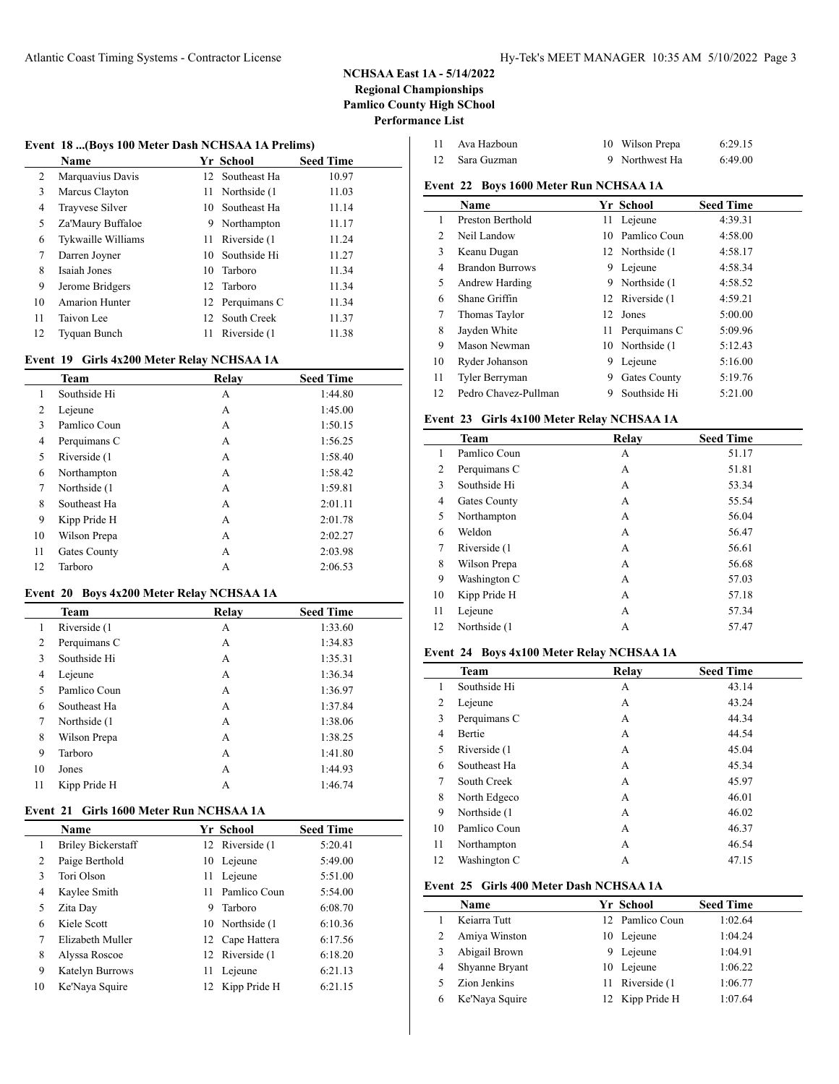$\overline{a}$ 

#### **Event 18 ...(Boys 100 Meter Dash NCHSAA 1A Prelims)**

|    | Name                  |      | Yr School       | <b>Seed Time</b> |
|----|-----------------------|------|-----------------|------------------|
| 2  | Marquavius Davis      |      | 12 Southeast Ha | 10.97            |
| 3  | Marcus Clayton        | 11 - | Northside (1)   | 11.03            |
| 4  | Trayvese Silver       | 10.  | Southeast Ha    | 11.14            |
| 5  | Za'Maury Buffaloe     |      | 9 Northampton   | 11.17            |
| 6  | Tykwaille Williams    |      | 11 Riverside (1 | 11.24            |
| 7  | Darren Joyner         | 10   | Southside Hi    | 11.27            |
| 8  | Isaiah Jones          |      | 10 Tarboro      | 11.34            |
| 9  | Jerome Bridgers       |      | 12 Tarboro      | 11.34            |
| 10 | <b>Amarion Hunter</b> |      | 12 Perquimans C | 11.34            |
| 11 | Taivon Lee            |      | 12 South Creek  | 11.37            |
| 12 | Tyquan Bunch          | 11   | Riverside (1)   | 11.38            |

### **Event 19 Girls 4x200 Meter Relay NCHSAA 1A**

|    | Team          | Relay | <b>Seed Time</b> |
|----|---------------|-------|------------------|
|    | Southside Hi  | А     | 1:44.80          |
| 2  | Lejeune       | А     | 1:45.00          |
| 3  | Pamlico Coun  | А     | 1:50.15          |
| 4  | Perquimans C  | A     | 1:56.25          |
| 5  | Riverside (1) | А     | 1:58.40          |
| 6  | Northampton   | А     | 1:58.42          |
| 7  | Northside (1) | А     | 1:59.81          |
| 8  | Southeast Ha  | А     | 2:01.11          |
| 9  | Kipp Pride H  | А     | 2:01.78          |
| 10 | Wilson Prepa  | А     | 2:02.27          |
| 11 | Gates County  | А     | 2:03.98          |
| 12 | Tarboro       | А     | 2:06.53          |

### **Event 20 Boys 4x200 Meter Relay NCHSAA 1A**

|    | Team          | Relay | <b>Seed Time</b> |
|----|---------------|-------|------------------|
| 1  | Riverside (1  | А     | 1:33.60          |
| 2  | Perquimans C  | А     | 1:34.83          |
| 3  | Southside Hi  | А     | 1:35.31          |
| 4  | Lejeune       | A     | 1:36.34          |
| 5  | Pamlico Coun  | А     | 1:36.97          |
| 6  | Southeast Ha  | А     | 1:37.84          |
| 7  | Northside (1) | А     | 1:38.06          |
| 8  | Wilson Prepa  | А     | 1:38.25          |
| 9  | Tarboro       | А     | 1:41.80          |
| 10 | Jones         | А     | 1:44.93          |
| 11 | Kipp Pride H  | А     | 1:46.74          |
|    |               |       |                  |

### **Event 21 Girls 1600 Meter Run NCHSAA 1A**

|    | Name                      |    | Yr School        | <b>Seed Time</b> |
|----|---------------------------|----|------------------|------------------|
| 1  | <b>Briley Bickerstaff</b> |    | 12 Riverside (1) | 5:20.41          |
| 2  | Paige Berthold            |    | 10 Lejeune       | 5:49.00          |
| 3  | Tori Olson                | 11 | Lejeune          | 5:51.00          |
| 4  | Kaylee Smith              | 11 | Pamlico Coun     | 5:54.00          |
| 5  | Zita Day                  | 9  | Tarboro          | 6:08.70          |
| 6  | Kiele Scott               |    | 10 Northside (1) | 6:10.36          |
| 7  | Elizabeth Muller          |    | 12 Cape Hattera  | 6:17.56          |
| 8  | Alyssa Roscoe             |    | 12 Riverside (1) | 6:18.20          |
| 9  | Katelyn Burrows           | 11 | Lejeune          | 6:21.13          |
| 10 | Ke'Naya Squire            |    | 12 Kipp Pride H  | 6:21.15          |

| Ava Hazboun | 10 Wilson Prepa | 6:29.15 |
|-------------|-----------------|---------|
| Sara Guzman | 9 Northwest Ha  | 6:49.00 |

# **Event 22 Boys 1600 Meter Run NCHSAA 1A**

|    | <b>Name</b>            |     | Yr School           | <b>Seed Time</b> |
|----|------------------------|-----|---------------------|------------------|
| 1  | Preston Berthold       | 11. | Lejeune             | 4:39.31          |
| 2  | Neil Landow            | 10  | Pamlico Coun        | 4:58.00          |
| 3  | Keanu Dugan            |     | 12 Northside (1)    | 4:58.17          |
| 4  | <b>Brandon Burrows</b> | 9   | Lejeune             | 4:58.34          |
| 5  | Andrew Harding         | 9   | Northside (1)       | 4:58.52          |
| 6  | Shane Griffin          |     | 12 Riverside (1     | 4:59.21          |
| 7  | Thomas Taylor          |     | 12 Jones            | 5:00.00          |
| 8  | Jayden White           | 11  | Perquimans C        | 5:09.96          |
| 9  | Mason Newman           |     | 10 Northside (1)    | 5:12.43          |
| 10 | Ryder Johanson         | 9   | Lejeune             | 5:16.00          |
| 11 | Tyler Berryman         | 9   | <b>Gates County</b> | 5:19.76          |
| 12 | Pedro Chavez-Pullman   | 9   | Southside Hi        | 5:21.00          |

#### **Event 23 Girls 4x100 Meter Relay NCHSAA 1A**

|    | Team          | Relay | <b>Seed Time</b> |
|----|---------------|-------|------------------|
| 1  | Pamlico Coun  | А     | 51.17            |
| 2  | Perquimans C  | А     | 51.81            |
| 3  | Southside Hi  | А     | 53.34            |
| 4  | Gates County  | А     | 55.54            |
| 5  | Northampton   | А     | 56.04            |
| 6  | Weldon        | А     | 56.47            |
| 7  | Riverside (1) | А     | 56.61            |
| 8  | Wilson Prepa  | А     | 56.68            |
| 9  | Washington C  | А     | 57.03            |
| 10 | Kipp Pride H  | А     | 57.18            |
| 11 | Lejeune       | А     | 57.34            |
| 12 | Northside (1  | А     | 57.47            |

## **Event 24 Boys 4x100 Meter Relay NCHSAA 1A**

|    | Team          | Relay | <b>Seed Time</b> |  |
|----|---------------|-------|------------------|--|
| 1  | Southside Hi  | А     | 43.14            |  |
| 2  | Lejeune       | А     | 43.24            |  |
| 3  | Perquimans C  | А     | 44.34            |  |
| 4  | Bertie        | А     | 44.54            |  |
| 5  | Riverside (1) | А     | 45.04            |  |
| 6  | Southeast Ha  | А     | 45.34            |  |
| 7  | South Creek   | А     | 45.97            |  |
| 8  | North Edgeco  | А     | 46.01            |  |
| 9  | Northside (1) | А     | 46.02            |  |
| 10 | Pamlico Coun  | А     | 46.37            |  |
| 11 | Northampton   | А     | 46.54            |  |
| 12 | Washington C  | А     | 47.15            |  |

#### **Event 25 Girls 400 Meter Dash NCHSAA 1A**

|   | <b>Name</b>    |    | Yr School       | <b>Seed Time</b> |
|---|----------------|----|-----------------|------------------|
|   | Keiarra Tutt   |    | 12 Pamlico Coun | 1:02.64          |
|   | Amiya Winston  |    | 10 Lejeune      | 1:04.24          |
|   | Abigail Brown  | 9. | Lejeune         | 1:04.91          |
| 4 | Shyanne Bryant |    | 10 Lejeune      | 1:06.22          |
|   | Zion Jenkins   |    | 11 Riverside (1 | 1:06.77          |
| 6 | Ke'Naya Squire |    | 12 Kipp Pride H | 1:07.64          |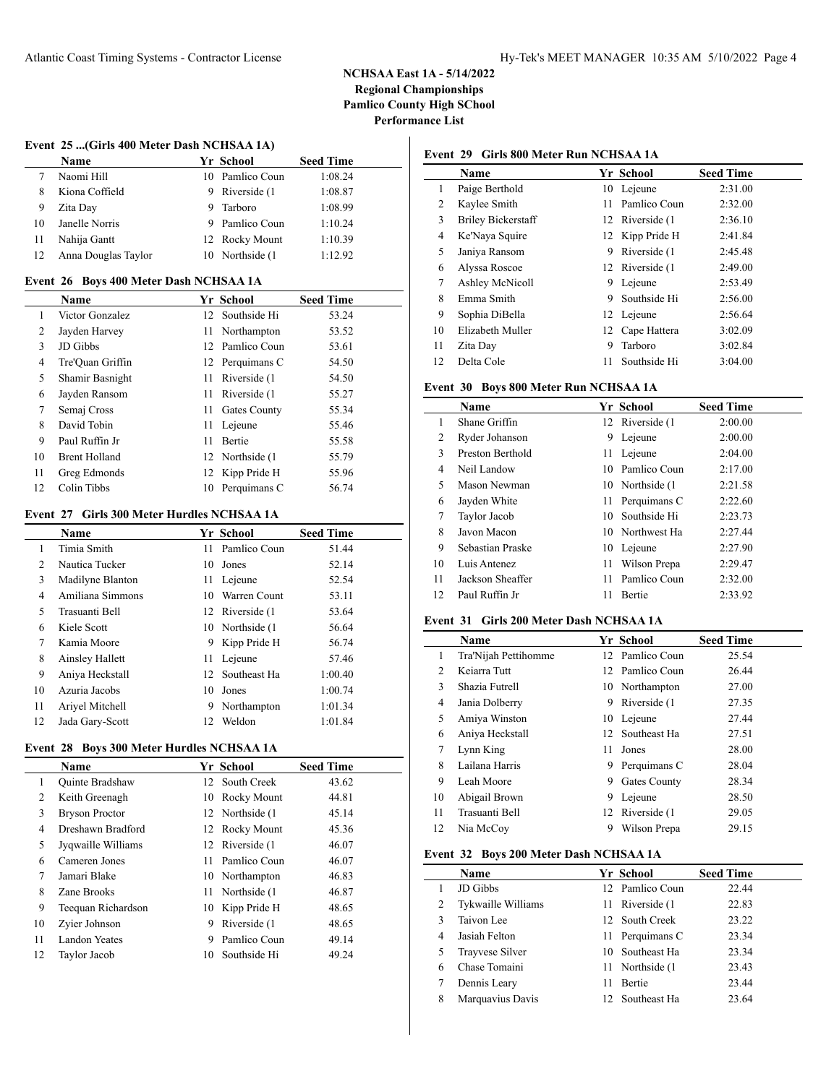### **Event 25 ...(Girls 400 Meter Dash NCHSAA 1A)**

 $\overline{a}$ 

|     | Name                |   | Yr School        | <b>Seed Time</b> |
|-----|---------------------|---|------------------|------------------|
|     | Naomi Hill          |   | 10 Pamlico Coun  | 1:08.24          |
|     | Kiona Coffield      | 9 | Riverside (1     | 1:08.87          |
| 9   | Zita Day            | 9 | Tarboro          | 1:08.99          |
| 10  | Janelle Norris      |   | 9 Pamlico Coun   | 1:10.24          |
| -11 | Nahija Gantt        |   | 12 Rocky Mount   | 1:10.39          |
| -12 | Anna Douglas Taylor |   | 10 Northside (1) | 1:12.92          |

#### **Event 26 Boys 400 Meter Dash NCHSAA 1A**

|    | <b>Name</b>          |     | Yr School        | <b>Seed Time</b> |
|----|----------------------|-----|------------------|------------------|
| 1  | Victor Gonzalez      |     | 12 Southside Hi  | 53.24            |
| 2  | Jayden Harvey        |     | 11 Northampton   | 53.52            |
| 3  | JD Gibbs             |     | 12 Pamlico Coun  | 53.61            |
| 4  | Tre'Ouan Griffin     |     | 12 Perquimans C  | 54.50            |
| 5  | Shamir Basnight      | 11  | Riverside (1)    | 54.50            |
| 6  | Jayden Ransom        |     | 11 Riverside (1  | 55.27            |
| 7  | Semaj Cross          | 11. | Gates County     | 55.34            |
| 8  | David Tobin          |     | 11 Lejeune       | 55.46            |
| 9  | Paul Ruffin Jr       | 11  | <b>Bertie</b>    | 55.58            |
| 10 | <b>Brent Holland</b> |     | 12 Northside (1) | 55.79            |
| 11 | Greg Edmonds         |     | 12 Kipp Pride H  | 55.96            |
| 12 | Colin Tibbs          | 10  | Perquimans C     | 56.74            |

# **Event 27 Girls 300 Meter Hurdles NCHSAA 1A**

|    | Name             |     | Yr School        | <b>Seed Time</b> |
|----|------------------|-----|------------------|------------------|
| 1  | Timia Smith      | 11  | Pamlico Coun     | 51.44            |
| 2  | Nautica Tucker   | 10. | Jones            | 52.14            |
| 3  | Madilyne Blanton | 11  | Lejeune          | 52.54            |
| 4  | Amiliana Simmons | 10  | Warren Count     | 53.11            |
| 5  | Trasuanti Bell   |     | 12 Riverside (1) | 53.64            |
| 6  | Kiele Scott      |     | 10 Northside (1) | 56.64            |
| 7  | Kamia Moore      | 9   | Kipp Pride H     | 56.74            |
| 8  | Ainsley Hallett  | 11  | Lejeune          | 57.46            |
| 9  | Aniya Heckstall  |     | 12 Southeast Ha  | 1:00.40          |
| 10 | Azuria Jacobs    | 10. | Jones            | 1:00.74          |
| 11 | Ariyel Mitchell  | 9   | Northampton      | 1:01.34          |
| 12 | Jada Gary-Scott  | 12  | Weldon           | 1:01.84          |

# **Event 28 Boys 300 Meter Hurdles NCHSAA 1A**

|                | Name                   |    | <b>Yr School</b> | <b>Seed Time</b> |
|----------------|------------------------|----|------------------|------------------|
| 1              | <b>Ouinte Bradshaw</b> |    | 12 South Creek   | 43.62            |
| $\overline{c}$ | Keith Greenagh         | 10 | Rocky Mount      | 44.81            |
| 3              | <b>Bryson Proctor</b>  |    | 12 Northside (1) | 45.14            |
| 4              | Dreshawn Bradford      |    | 12 Rocky Mount   | 45.36            |
| 5              | Jyqwaille Williams     |    | 12 Riverside (1) | 46.07            |
| 6              | Cameren Jones          | 11 | Pamlico Coun     | 46.07            |
| 7              | Jamari Blake           |    | 10 Northampton   | 46.83            |
| 8              | Zane Brooks            |    | 11 Northside (1) | 46.87            |
| 9              | Teequan Richardson     | 10 | Kipp Pride H     | 48.65            |
| 10             | Zyier Johnson          | 9  | Riverside (1)    | 48.65            |
| 11             | Landon Yeates          | 9  | Pamlico Coun     | 49.14            |
| 12             | Taylor Jacob           | 10 | Southside Hi     | 49.24            |
|                |                        |    |                  |                  |

# **Event 29 Girls 800 Meter Run NCHSAA 1A**

|    | <b>Name</b>               |    | Yr School        | <b>Seed Time</b> |
|----|---------------------------|----|------------------|------------------|
| 1  | Paige Berthold            |    | 10 Lejeune       | 2:31.00          |
| 2  | Kaylee Smith              | 11 | Pamlico Coun     | 2:32.00          |
| 3  | <b>Briley Bickerstaff</b> |    | 12 Riverside (1) | 2:36.10          |
| 4  | Ke'Naya Squire            |    | 12 Kipp Pride H  | 2:41.84          |
| 5  | Janiya Ransom             | 9  | Riverside (1     | 2:45.48          |
| 6  | Alyssa Roscoe             |    | 12 Riverside (1  | 2:49.00          |
| 7  | Ashley McNicoll           | 9  | Lejeune          | 2:53.49          |
| 8  | Emma Smith                | 9  | Southside Hi     | 2:56.00          |
| 9  | Sophia DiBella            |    | 12 Lejeune       | 2:56.64          |
| 10 | Elizabeth Muller          |    | 12 Cape Hattera  | 3:02.09          |
| 11 | Zita Day                  | 9  | Tarboro          | 3:02.84          |
| 12 | Delta Cole                | 11 | Southside Hi     | 3:04.00          |

## **Event 30 Boys 800 Meter Run NCHSAA 1A**

|    | <b>Name</b>      |     | Yr School        | <b>Seed Time</b> |
|----|------------------|-----|------------------|------------------|
| 1  | Shane Griffin    |     | 12 Riverside (1  | 2:00.00          |
| 2  | Ryder Johanson   | 9   | Lejeune          | 2:00.00          |
| 3  | Preston Berthold | 11  | Lejeune          | 2:04.00          |
| 4  | Neil Landow      | 10  | Pamlico Coun     | 2:17.00          |
| 5  | Mason Newman     |     | 10 Northside (1) | 2:21.58          |
| 6  | Jayden White     | 11. | Perquimans C     | 2:22.60          |
| 7  | Taylor Jacob     | 10  | Southside Hi     | 2:23.73          |
| 8  | Javon Macon      |     | 10 Northwest Ha  | 2:27.44          |
| 9  | Sebastian Praske | 10  | Lejeune          | 2:27.90          |
| 10 | Luis Antenez     | 11  | Wilson Prepa     | 2:29.47          |
| 11 | Jackson Sheaffer | 11  | Pamlico Coun     | 2:32.00          |
| 12 | Paul Ruffin Jr   | 11  | <b>Bertie</b>    | 2:33.92          |

#### **Event 31 Girls 200 Meter Dash NCHSAA 1A**

|    | <b>Name</b>          |    | Yr School       | <b>Seed Time</b> |
|----|----------------------|----|-----------------|------------------|
| 1  | Tra'Nijah Pettihomme |    | 12 Pamlico Coun | 25.54            |
| 2  | Keiarra Tutt         |    | 12 Pamlico Coun | 26.44            |
| 3  | Shazia Futrell       |    | 10 Northampton  | 27.00            |
| 4  | Jania Dolberry       | 9  | Riverside (1)   | 27.35            |
| 5  | Amiya Winston        | 10 | Lejeune         | 27.44            |
| 6  | Aniya Heckstall      |    | 12 Southeast Ha | 27.51            |
| 7  | Lynn King            | 11 | Jones           | 28.00            |
| 8  | Lailana Harris       | 9  | Perquimans C    | 28.04            |
| 9  | Leah Moore           | 9  | Gates County    | 28.34            |
| 10 | Abigail Brown        | 9. | Lejeune         | 28.50            |
| 11 | Trasuanti Bell       |    | 12 Riverside (1 | 29.05            |
| 12 | Nia McCoy            | 9  | Wilson Prepa    | 29.15            |

# **Event 32 Boys 200 Meter Dash NCHSAA 1A**

|   | <b>Name</b>        |     | Yr School       | <b>Seed Time</b> |
|---|--------------------|-----|-----------------|------------------|
|   | JD Gibbs           |     | 12 Pamlico Coun | 22.44            |
| 2 | Tykwaille Williams | 11. | Riverside (1)   | 22.83            |
| 3 | Taivon Lee         |     | 12 South Creek  | 23.22            |
| 4 | Jasiah Felton      |     | 11 Perquimans C | 23.34            |
| 5 | Trayvese Silver    |     | 10 Southeast Ha | 23.34            |
| 6 | Chase Tomaini      | 11. | Northside (1)   | 23.43            |
|   | Dennis Leary       | 11  | <b>Bertie</b>   | 23.44            |
| 8 | Marquavius Davis   |     | 12 Southeast Ha | 23.64            |